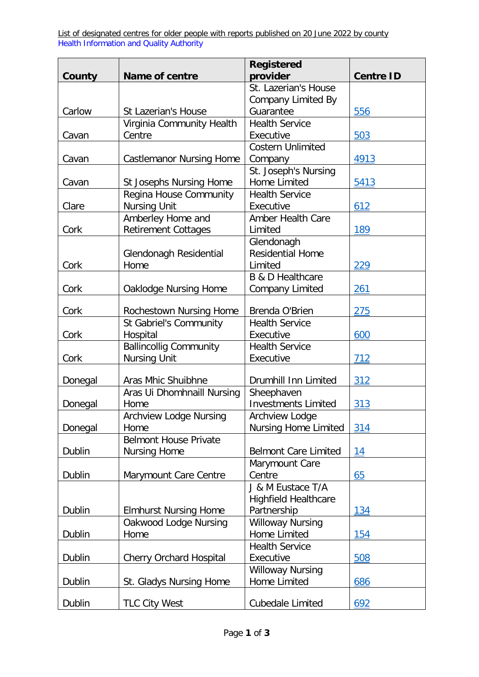List of designated centres for older people with reports published on 20 June 2022 by county Health Information and Quality Authority

|         |                                 | <b>Registered</b>                     |                  |
|---------|---------------------------------|---------------------------------------|------------------|
| County  | <b>Name of centre</b>           | provider                              | <b>Centre ID</b> |
|         |                                 | St. Lazerian's House                  |                  |
|         |                                 | <b>Company Limited By</b>             |                  |
| Carlow  | St Lazerian's House             | Guarantee                             | 556              |
|         | Virginia Community Health       | <b>Health Service</b>                 |                  |
| Cavan   | Centre                          | Executive<br><b>Costern Unlimited</b> | 503              |
| Cavan   |                                 |                                       | 4913             |
|         | <b>Castlemanor Nursing Home</b> | Company<br>St. Joseph's Nursing       |                  |
| Cavan   | <b>St Josephs Nursing Home</b>  | <b>Home Limited</b>                   | 5413             |
|         | Regina House Community          | <b>Health Service</b>                 |                  |
| Clare   | <b>Nursing Unit</b>             | Executive                             | 612              |
|         | Amberley Home and               | <b>Amber Health Care</b>              |                  |
| Cork    | <b>Retirement Cottages</b>      | Limited                               | 189              |
|         |                                 | Glendonagh                            |                  |
|         | Glendonagh Residential          | <b>Residential Home</b>               |                  |
| Cork    | Home                            | Limited                               | 229              |
|         |                                 | <b>B &amp; D Healthcare</b>           |                  |
| Cork    | Oaklodge Nursing Home           | <b>Company Limited</b>                | 261              |
|         |                                 |                                       |                  |
| Cork    | Rochestown Nursing Home         | Brenda O'Brien                        | 275              |
|         | St Gabriel's Community          | <b>Health Service</b>                 |                  |
| Cork    | Hospital                        | Executive                             | 600              |
|         | <b>Ballincollig Community</b>   | <b>Health Service</b>                 |                  |
| Cork    | <b>Nursing Unit</b>             | Executive                             | 712              |
|         |                                 |                                       |                  |
| Donegal | Aras Mhic Shuibhne              | Drumhill Inn Limited                  | 312              |
|         | Aras Ui Dhomhnaill Nursing      | Sheephaven                            |                  |
| Donegal | Home                            | <b>Investments Limited</b>            | 313              |
|         | <b>Archview Lodge Nursing</b>   | Archview Lodge                        |                  |
| Donegal | Home                            | <b>Nursing Home Limited</b>           | 314              |
|         | <b>Belmont House Private</b>    |                                       |                  |
| Dublin  | <b>Nursing Home</b>             | <b>Belmont Care Limited</b>           | 14               |
|         |                                 | Marymount Care                        |                  |
| Dublin  | Marymount Care Centre           | Centre                                | 65               |
|         |                                 | J & M Eustace T/A                     |                  |
|         |                                 | <b>Highfield Healthcare</b>           |                  |
| Dublin  | <b>Elmhurst Nursing Home</b>    | Partnership                           | 134              |
|         | Oakwood Lodge Nursing           | <b>Willoway Nursing</b>               |                  |
| Dublin  | Home                            | Home Limited                          | 154              |
|         |                                 | <b>Health Service</b>                 |                  |
| Dublin  | Cherry Orchard Hospital         | Executive                             | 508              |
|         |                                 | <b>Willoway Nursing</b>               |                  |
| Dublin  | St. Gladys Nursing Home         | Home Limited                          | 686              |
|         |                                 |                                       |                  |
| Dublin  | <b>TLC City West</b>            | Cubedale Limited                      | 692              |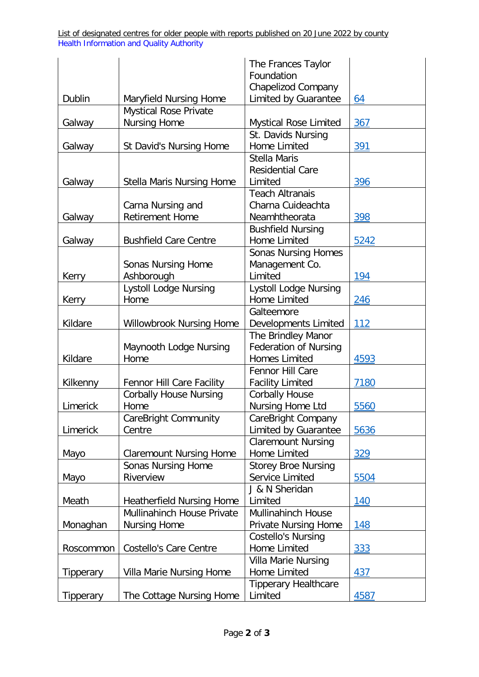List of designated centres for older people with reports published on 20 June 2022 by county Health Information and Quality Authority

|           |                                   | The Frances Taylor           |            |
|-----------|-----------------------------------|------------------------------|------------|
|           |                                   | Foundation                   |            |
|           |                                   | <b>Chapelizod Company</b>    |            |
| Dublin    | Maryfield Nursing Home            | Limited by Guarantee         | <u>64</u>  |
|           | <b>Mystical Rose Private</b>      |                              |            |
| Galway    | <b>Nursing Home</b>               | Mystical Rose Limited        | 367        |
|           |                                   | St. Davids Nursing           |            |
| Galway    | <b>St David's Nursing Home</b>    | <b>Home Limited</b>          | 391        |
|           |                                   | <b>Stella Maris</b>          |            |
|           |                                   | <b>Residential Care</b>      |            |
| Galway    | <b>Stella Maris Nursing Home</b>  | Limited                      | 396        |
|           |                                   | <b>Teach Altranais</b>       |            |
|           | Carna Nursing and                 | Charna Cuideachta            |            |
| Galway    | <b>Retirement Home</b>            | Neamhtheorata                | 398        |
|           |                                   | <b>Bushfield Nursing</b>     |            |
| Galway    | <b>Bushfield Care Centre</b>      | <b>Home Limited</b>          | 5242       |
|           |                                   | <b>Sonas Nursing Homes</b>   |            |
|           | <b>Sonas Nursing Home</b>         | Management Co.               |            |
| Kerry     | Ashborough                        | Limited                      | 194        |
|           | <b>Lystoll Lodge Nursing</b>      | <b>Lystoll Lodge Nursing</b> |            |
| Kerry     | Home                              | <b>Home Limited</b>          | 246        |
|           |                                   |                              |            |
|           |                                   | Galteemore                   |            |
| Kildare   | Willowbrook Nursing Home          | <b>Developments Limited</b>  | <u>112</u> |
|           |                                   | The Brindley Manor           |            |
|           | Maynooth Lodge Nursing            | Federation of Nursing        |            |
| Kildare   | Home                              | <b>Homes Limited</b>         | 4593       |
|           |                                   | Fennor Hill Care             |            |
| Kilkenny  | Fennor Hill Care Facility         | <b>Facility Limited</b>      | 7180       |
|           | <b>Corbally House Nursing</b>     | <b>Corbally House</b>        |            |
| Limerick  | Home                              | Nursing Home Ltd             | 5560       |
|           | <b>CareBright Community</b>       | CareBright Company           |            |
| Limerick  | Centre                            | Limited by Guarantee         | 5636       |
|           |                                   | <b>Claremount Nursing</b>    |            |
| Mayo      | <b>Claremount Nursing Home</b>    | <b>Home Limited</b>          | 329        |
|           | Sonas Nursing Home                | <b>Storey Broe Nursing</b>   |            |
| Mayo      | Riverview                         | Service Limited              | 5504       |
|           |                                   | J & N Sheridan               |            |
| Meath     | <b>Heatherfield Nursing Home</b>  | Limited                      | <u>140</u> |
|           | <b>Mullinahinch House Private</b> | <b>Mullinahinch House</b>    |            |
| Monaghan  | <b>Nursing Home</b>               | <b>Private Nursing Home</b>  | 148        |
|           |                                   | <b>Costello's Nursing</b>    |            |
| Roscommon | <b>Costello's Care Centre</b>     | <b>Home Limited</b>          | 333        |
|           |                                   | Villa Marie Nursing          |            |
| Tipperary | Villa Marie Nursing Home          | Home Limited                 | 437        |
|           |                                   | <b>Tipperary Healthcare</b>  |            |
| Tipperary | The Cottage Nursing Home          | Limited                      | 4587       |
|           |                                   |                              |            |